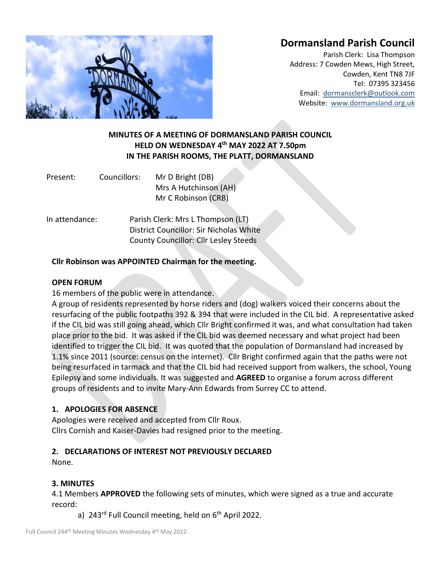# **Dormansland Parish Council**



Parish Clerk: Lisa Thompson Address: 7 Cowden Mews, High Street, Cowden, Kent TN8 7JF Tel: 07395 323456 Email: [dormansclerk@outlook.com](mailto:dormansclerk@outlook.com) Website: [www.dormansland.org.uk](http://www.dormansland.org.uk/)

# **MINUTES OF A MEETING OF DORMANSLAND PARISH COUNCIL HELD ON WEDNESDAY 4 th MAY 2022 AT 7.50pm IN THE PARISH ROOMS, THE PLATT, DORMANSLAND**

| Present: | Councillors: | Mr D Bright (DB)      |  |  |
|----------|--------------|-----------------------|--|--|
|          |              | Mrs A Hutchinson (AH) |  |  |
|          |              | Mr C Robinson (CRB)   |  |  |

In attendance: Parish Clerk: Mrs L Thompson (LT) District Councillor: Sir Nicholas White County Councillor: Cllr Lesley Steeds

#### **Cllr Robinson was APPOINTED Chairman for the meeting.**

#### **OPEN FORUM**

16 members of the public were in attendance.

A group of residents represented by horse riders and (dog) walkers voiced their concerns about the resurfacing of the public footpaths 392 & 394 that were included in the CIL bid. A representative asked if the CIL bid was still going ahead, which Cllr Bright confirmed it was, and what consultation had taken place prior to the bid. It was asked if the CIL bid was deemed necessary and what project had been identified to trigger the CIL bid. It was quoted that the population of Dormansland had increased by 1.1% since 2011 (source: census on the internet). Cllr Bright confirmed again that the paths were not being resurfaced in tarmack and that the CIL bid had received support from walkers, the school, Young Epilepsy and some individuals. It was suggested and **AGREED** to organise a forum across different groups of residents and to invite Mary-Ann Edwards from Surrey CC to attend.

## **1. APOLOGIES FOR ABSENCE**

Apologies were received and accepted from Cllr Roux. Cllrs Cornish and Kaiser-Davies had resigned prior to the meeting.

## **2. DECLARATIONS OF INTEREST NOT PREVIOUSLY DECLARED**

None.

## **3. MINUTES**

4.1 Members **APPROVED** the following sets of minutes, which were signed as a true and accurate record:

a) 243<sup>rd</sup> Full Council meeting, held on  $6<sup>th</sup>$  April 2022.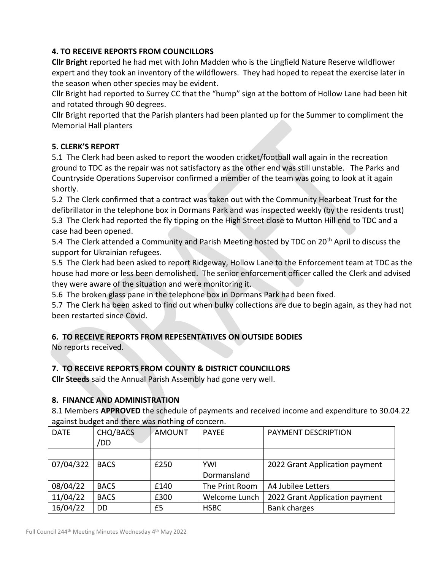# **4. TO RECEIVE REPORTS FROM COUNCILLORS**

**Cllr Bright** reported he had met with John Madden who is the Lingfield Nature Reserve wildflower expert and they took an inventory of the wildflowers. They had hoped to repeat the exercise later in the season when other species may be evident.

Cllr Bright had reported to Surrey CC that the "hump" sign at the bottom of Hollow Lane had been hit and rotated through 90 degrees.

Cllr Bright reported that the Parish planters had been planted up for the Summer to compliment the Memorial Hall planters

# **5. CLERK'S REPORT**

5.1 The Clerk had been asked to report the wooden cricket/football wall again in the recreation ground to TDC as the repair was not satisfactory as the other end was still unstable. The Parks and Countryside Operations Supervisor confirmed a member of the team was going to look at it again shortly.

5.2 The Clerk confirmed that a contract was taken out with the Community Hearbeat Trust for the defibrillator in the telephone box in Dormans Park and was inspected weekly (by the residents trust) 5.3 The Clerk had reported the fly tipping on the High Street close to Mutton Hill end to TDC and a case had been opened.

5.4 The Clerk attended a Community and Parish Meeting hosted by TDC on 20<sup>th</sup> April to discuss the support for Ukrainian refugees.

5.5 The Clerk had been asked to report Ridgeway, Hollow Lane to the Enforcement team at TDC as the house had more or less been demolished. The senior enforcement officer called the Clerk and advised they were aware of the situation and were monitoring it.

5.6 The broken glass pane in the telephone box in Dormans Park had been fixed.

5.7 The Clerk ha been asked to find out when bulky collections are due to begin again, as they had not been restarted since Covid.

# **6. TO RECEIVE REPORTS FROM REPESENTATIVES ON OUTSIDE BODIES**

No reports received.

# **7. TO RECEIVE REPORTS FROM COUNTY & DISTRICT COUNCILLORS**

**Cllr Steeds** said the Annual Parish Assembly had gone very well.

## **8. FINANCE AND ADMINISTRATION**

8.1 Members **APPROVED** the schedule of payments and received income and expenditure to 30.04.22 against budget and there was nothing of concern.

| <b>DATE</b> | CHQ/BACS<br>/DD | <b>AMOUNT</b> | <b>PAYEE</b>   | PAYMENT DESCRIPTION            |
|-------------|-----------------|---------------|----------------|--------------------------------|
|             |                 |               |                |                                |
| 07/04/322   | <b>BACS</b>     | £250          | <b>YWI</b>     | 2022 Grant Application payment |
|             |                 |               | Dormansland    |                                |
| 08/04/22    | <b>BACS</b>     | £140          | The Print Room | A4 Jubilee Letters             |
| 11/04/22    | <b>BACS</b>     | £300          | Welcome Lunch  | 2022 Grant Application payment |
| 16/04/22    | DD              | £5            | <b>HSBC</b>    | <b>Bank charges</b>            |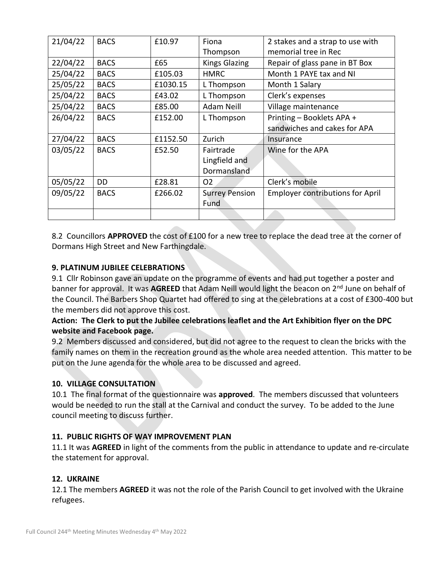| 21/04/22 | <b>BACS</b> | £10.97   | Fiona                 | 2 stakes and a strap to use with        |
|----------|-------------|----------|-----------------------|-----------------------------------------|
|          |             |          | Thompson              | memorial tree in Rec                    |
| 22/04/22 | <b>BACS</b> | £65      | <b>Kings Glazing</b>  | Repair of glass pane in BT Box          |
| 25/04/22 | <b>BACS</b> | £105.03  | <b>HMRC</b>           | Month 1 PAYE tax and NI                 |
| 25/05/22 | <b>BACS</b> | £1030.15 | L Thompson            | Month 1 Salary                          |
| 25/04/22 | <b>BACS</b> | £43.02   | L Thompson            | Clerk's expenses                        |
| 25/04/22 | <b>BACS</b> | £85.00   | <b>Adam Neill</b>     | Village maintenance                     |
| 26/04/22 | <b>BACS</b> | £152.00  | L Thompson            | Printing - Booklets APA +               |
|          |             |          |                       | sandwiches and cakes for APA            |
| 27/04/22 | <b>BACS</b> | £1152.50 | Zurich                | Insurance                               |
| 03/05/22 | <b>BACS</b> | £52.50   | Fairtrade             | Wine for the APA                        |
|          |             |          | Lingfield and         |                                         |
|          |             |          | Dormansland           |                                         |
| 05/05/22 | DD          | £28.81   | O <sub>2</sub>        | Clerk's mobile                          |
| 09/05/22 | <b>BACS</b> | £266.02  | <b>Surrey Pension</b> | <b>Employer contributions for April</b> |
|          |             |          | Fund                  |                                         |
|          |             |          |                       |                                         |

8.2 Councillors **APPROVED** the cost of £100 for a new tree to replace the dead tree at the corner of Dormans High Street and New Farthingdale.

# **9. PLATINUM JUBILEE CELEBRATIONS**

9.1 Cllr Robinson gave an update on the programme of events and had put together a poster and banner for approval. It was **AGREED** that Adam Neill would light the beacon on 2nd June on behalf of the Council. The Barbers Shop Quartet had offered to sing at the celebrations at a cost of £300-400 but the members did not approve this cost.

# **Action: The Clerk to put the Jubilee celebrations leaflet and the Art Exhibition flyer on the DPC website and Facebook page.**

9.2 Members discussed and considered, but did not agree to the request to clean the bricks with the family names on them in the recreation ground as the whole area needed attention. This matter to be put on the June agenda for the whole area to be discussed and agreed.

## **10. VILLAGE CONSULTATION**

10.1 The final format of the questionnaire was **approved**. The members discussed that volunteers would be needed to run the stall at the Carnival and conduct the survey. To be added to the June council meeting to discuss further.

## **11. PUBLIC RIGHTS OF WAY IMPROVEMENT PLAN**

11.1 It was **AGREED** in light of the comments from the public in attendance to update and re-circulate the statement for approval.

## **12. UKRAINE**

12.1 The members **AGREED** it was not the role of the Parish Council to get involved with the Ukraine refugees.